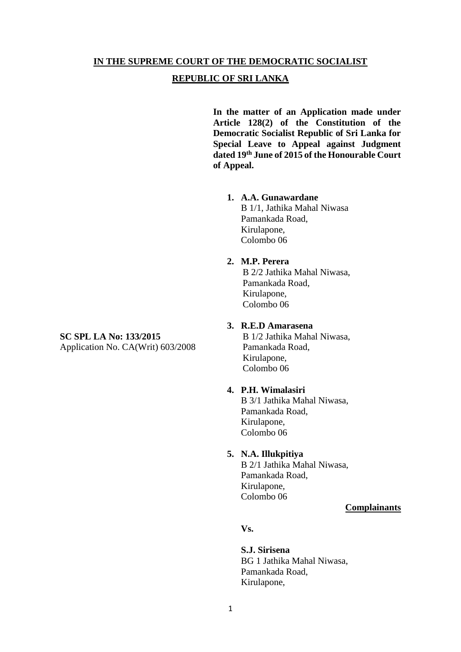#### **IN THE SUPREME COURT OF THE DEMOCRATIC SOCIALIST**

#### **REPUBLIC OF SRI LANKA**

**In the matter of an Application made under Article 128(2) of the Constitution of the Democratic Socialist Republic of Sri Lanka for Special Leave to Appeal against Judgment dated 19th June of 2015 of the Honourable Court of Appeal.** 

#### **1. A.A. Gunawardane**

B 1/1, Jathika Mahal Niwasa Pamankada Road, Kirulapone, Colombo 06

## **2. M.P. Perera**

B 2/2 Jathika Mahal Niwasa, Pamankada Road, Kirulapone, Colombo 06

#### **3. R.E.D Amarasena**

B 1/2 Jathika Mahal Niwasa, Pamankada Road, Kirulapone, Colombo 06

#### **4. P.H. Wimalasiri**

B 3/1 Jathika Mahal Niwasa, Pamankada Road, Kirulapone, Colombo 06

#### **5. N.A. Illukpitiya**

B 2/1 Jathika Mahal Niwasa, Pamankada Road, Kirulapone, Colombo 06

## **Complainants**

**Vs.** 

**S.J. Sirisena**  BG 1 Jathika Mahal Niwasa, Pamankada Road, Kirulapone,

# **SC SPL LA No: 133/2015**

Application No. CA(Writ) 603/2008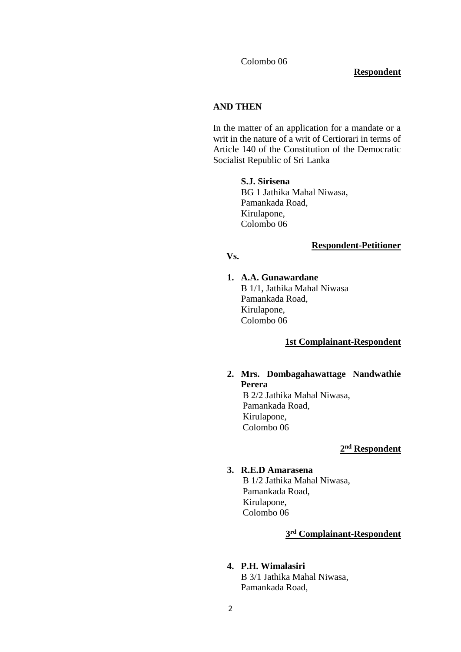Colombo 06

#### **Respondent**

#### **AND THEN**

In the matter of an application for a mandate or a writ in the nature of a writ of Certiorari in terms of Article 140 of the Constitution of the Democratic Socialist Republic of Sri Lanka

#### **S.J. Sirisena**

BG 1 Jathika Mahal Niwasa, Pamankada Road, Kirulapone, Colombo 06

#### **Respondent-Petitioner**

#### **Vs.**

#### **1. A.A. Gunawardane**

B 1/1, Jathika Mahal Niwasa Pamankada Road, Kirulapone, Colombo 06

#### **1st Complainant-Respondent**

#### **2. Mrs. Dombagahawattage Nandwathie Perera**

B 2/2 Jathika Mahal Niwasa, Pamankada Road, Kirulapone, Colombo 06

#### **2 nd Respondent**

#### **3. R.E.D Amarasena**

B 1/2 Jathika Mahal Niwasa, Pamankada Road, Kirulapone, Colombo 06

#### **3 rd Complainant-Respondent**

#### **4. P.H. Wimalasiri**

B 3/1 Jathika Mahal Niwasa, Pamankada Road,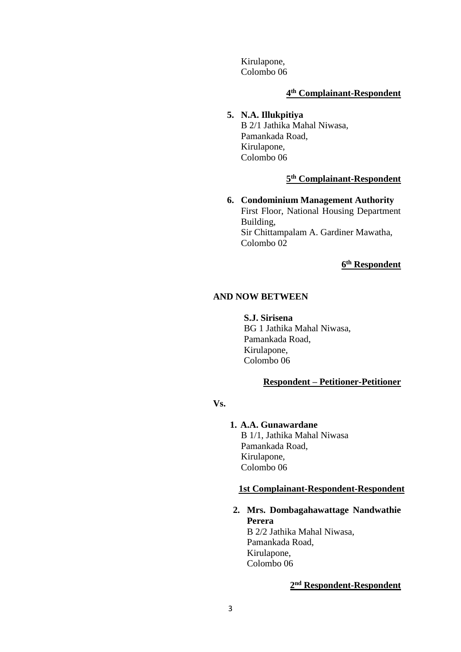Kirulapone, Colombo 06

#### **4 th Complainant-Respondent**

## **5. N.A. Illukpitiya**

B 2/1 Jathika Mahal Niwasa, Pamankada Road, Kirulapone, Colombo 06

#### **5 th Complainant-Respondent**

**6. Condominium Management Authority**  First Floor, National Housing Department Building, Sir Chittampalam A. Gardiner Mawatha, Colombo 02

**6 th Respondent**

#### **AND NOW BETWEEN**

**S.J. Sirisena**  BG 1 Jathika Mahal Niwasa, Pamankada Road, Kirulapone, Colombo 06

## **Respondent – Petitioner-Petitioner**

## **Vs.**

#### **1. A.A. Gunawardane**

B 1/1, Jathika Mahal Niwasa Pamankada Road, Kirulapone, Colombo 06

#### **1st Complainant-Respondent-Respondent**

**2. Mrs. Dombagahawattage Nandwathie Perera**

B 2/2 Jathika Mahal Niwasa, Pamankada Road, Kirulapone, Colombo 06

#### **2 nd Respondent-Respondent**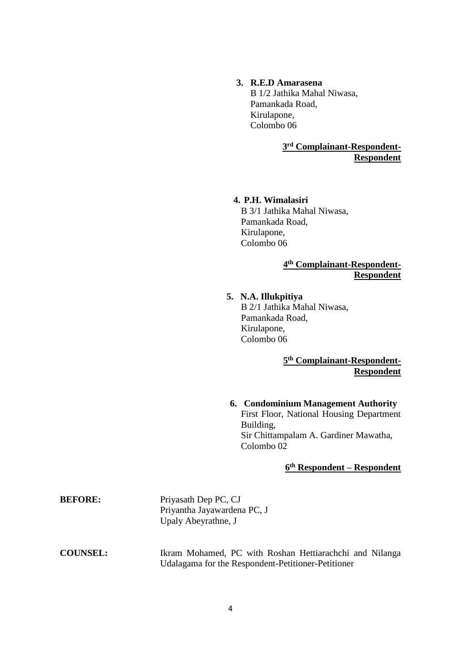## **3. R.E.D Amarasena**

B 1/2 Jathika Mahal Niwasa, Pamankada Road, Kirulapone, Colombo 06

> **3 rd Complainant-Respondent-Respondent**

#### **4. P.H. Wimalasiri**

B 3/1 Jathika Mahal Niwasa, Pamankada Road, Kirulapone, Colombo 06

> **4 th Complainant-Respondent-Respondent**

## **5. N.A. Illukpitiya**  B 2/1 Jathika Mahal Niwasa, Pamankada Road, Kirulapone, Colombo 06

**5 th Complainant-Respondent-Respondent** 

## **6. Condominium Management Authority**  First Floor, National Housing Department Building, Sir Chittampalam A. Gardiner Mawatha, Colombo 02

#### **6 th Respondent – Respondent**

| <b>BEFORE:</b>  | Priyasath Dep PC, CJ<br>Priyantha Jayawardena PC, J<br>Upaly Abeyrathne, J                                    |
|-----------------|---------------------------------------------------------------------------------------------------------------|
| <b>COUNSEL:</b> | Ikram Mohamed, PC with Roshan Hettiarachchi and Nilanga<br>Udalagama for the Respondent-Petitioner-Petitioner |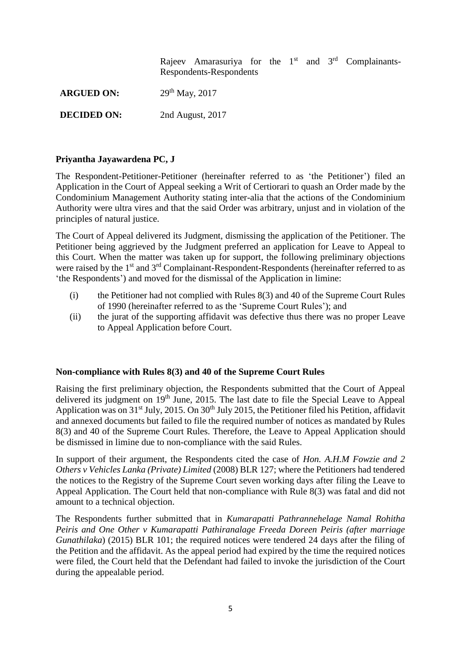|                    | Rajeev Amarasuriya for the $1st$ and $3rd$ Complainants-<br>Respondents-Respondents |
|--------------------|-------------------------------------------------------------------------------------|
| <b>ARGUED ON:</b>  | $29th$ May, 2017                                                                    |
| <b>DECIDED ON:</b> | 2nd August, 2017                                                                    |

## **Priyantha Jayawardena PC, J**

The Respondent-Petitioner-Petitioner (hereinafter referred to as 'the Petitioner') filed an Application in the Court of Appeal seeking a Writ of Certiorari to quash an Order made by the Condominium Management Authority stating inter-alia that the actions of the Condominium Authority were ultra vires and that the said Order was arbitrary, unjust and in violation of the principles of natural justice.

The Court of Appeal delivered its Judgment, dismissing the application of the Petitioner. The Petitioner being aggrieved by the Judgment preferred an application for Leave to Appeal to this Court. When the matter was taken up for support, the following preliminary objections were raised by the 1<sup>st</sup> and 3<sup>rd</sup> Complainant-Respondent-Respondents (hereinafter referred to as 'the Respondents') and moved for the dismissal of the Application in limine:

- (i) the Petitioner had not complied with Rules 8(3) and 40 of the Supreme Court Rules of 1990 (hereinafter referred to as the 'Supreme Court Rules'); and
- (ii) the jurat of the supporting affidavit was defective thus there was no proper Leave to Appeal Application before Court.

#### **Non-compliance with Rules 8(3) and 40 of the Supreme Court Rules**

Raising the first preliminary objection, the Respondents submitted that the Court of Appeal delivered its judgment on 19<sup>th</sup> June, 2015. The last date to file the Special Leave to Appeal Application was on 31<sup>st</sup> July, 2015. On 30<sup>th</sup> July 2015, the Petitioner filed his Petition, affidavit and annexed documents but failed to file the required number of notices as mandated by Rules 8(3) and 40 of the Supreme Court Rules. Therefore, the Leave to Appeal Application should be dismissed in limine due to non-compliance with the said Rules.

In support of their argument, the Respondents cited the case of *Hon. A.H.M Fowzie and 2 Others v Vehicles Lanka (Private) Limited* (2008) BLR 127; where the Petitioners had tendered the notices to the Registry of the Supreme Court seven working days after filing the Leave to Appeal Application. The Court held that non-compliance with Rule 8(3) was fatal and did not amount to a technical objection.

The Respondents further submitted that in *Kumarapatti Pathrannehelage Namal Rohitha Peiris and One Other v Kumarapatti Pathiranalage Freeda Doreen Peiris (after marriage Gunathilaka*) (2015) BLR 101; the required notices were tendered 24 days after the filing of the Petition and the affidavit. As the appeal period had expired by the time the required notices were filed, the Court held that the Defendant had failed to invoke the jurisdiction of the Court during the appealable period.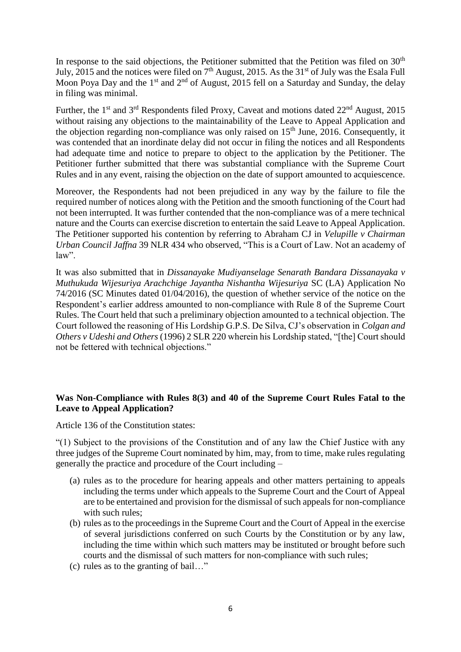In response to the said objections, the Petitioner submitted that the Petition was filed on  $30<sup>th</sup>$ July, 2015 and the notices were filed on  $7<sup>th</sup>$  August, 2015. As the 31<sup>st</sup> of July was the Esala Full Moon Poya Day and the 1<sup>st</sup> and  $2<sup>nd</sup>$  of August, 2015 fell on a Saturday and Sunday, the delay in filing was minimal.

Further, the 1<sup>st</sup> and 3<sup>rd</sup> Respondents filed Proxy, Caveat and motions dated 22<sup>nd</sup> August, 2015 without raising any objections to the maintainability of the Leave to Appeal Application and the objection regarding non-compliance was only raised on  $15<sup>th</sup>$  June, 2016. Consequently, it was contended that an inordinate delay did not occur in filing the notices and all Respondents had adequate time and notice to prepare to object to the application by the Petitioner. The Petitioner further submitted that there was substantial compliance with the Supreme Court Rules and in any event, raising the objection on the date of support amounted to acquiescence.

Moreover, the Respondents had not been prejudiced in any way by the failure to file the required number of notices along with the Petition and the smooth functioning of the Court had not been interrupted. It was further contended that the non-compliance was of a mere technical nature and the Courts can exercise discretion to entertain the said Leave to Appeal Application. The Petitioner supported his contention by referring to Abraham CJ in *Velupille v Chairman Urban Council Jaffna* 39 NLR 434 who observed, "This is a Court of Law. Not an academy of law".

It was also submitted that in *Dissanayake Mudiyanselage Senarath Bandara Dissanayaka v Muthukuda Wijesuriya Arachchige Jayantha Nishantha Wijesuriya* SC (LA) Application No 74/2016 (SC Minutes dated 01/04/2016), the question of whether service of the notice on the Respondent's earlier address amounted to non-compliance with Rule 8 of the Supreme Court Rules. The Court held that such a preliminary objection amounted to a technical objection. The Court followed the reasoning of His Lordship G.P.S. De Silva, CJ's observation in *Colgan and Others v Udeshi and Others* (1996) 2 SLR 220 wherein his Lordship stated, "[the] Court should not be fettered with technical objections."

## **Was Non-Compliance with Rules 8(3) and 40 of the Supreme Court Rules Fatal to the Leave to Appeal Application?**

Article 136 of the Constitution states:

"(1) Subject to the provisions of the Constitution and of any law the Chief Justice with any three judges of the Supreme Court nominated by him, may, from to time, make rules regulating generally the practice and procedure of the Court including –

- (a) rules as to the procedure for hearing appeals and other matters pertaining to appeals including the terms under which appeals to the Supreme Court and the Court of Appeal are to be entertained and provision for the dismissal of such appeals for non-compliance with such rules;
- (b) rules as to the proceedings in the Supreme Court and the Court of Appeal in the exercise of several jurisdictions conferred on such Courts by the Constitution or by any law, including the time within which such matters may be instituted or brought before such courts and the dismissal of such matters for non-compliance with such rules;
- (c) rules as to the granting of bail…"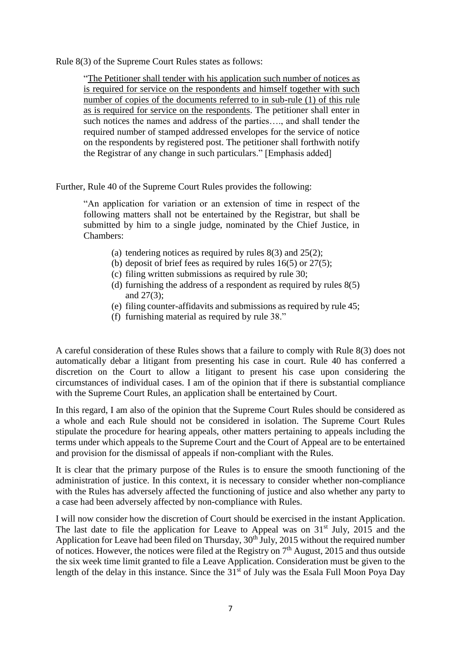Rule 8(3) of the Supreme Court Rules states as follows:

"The Petitioner shall tender with his application such number of notices as is required for service on the respondents and himself together with such number of copies of the documents referred to in sub-rule (1) of this rule as is required for service on the respondents. The petitioner shall enter in such notices the names and address of the parties…., and shall tender the required number of stamped addressed envelopes for the service of notice on the respondents by registered post. The petitioner shall forthwith notify the Registrar of any change in such particulars." [Emphasis added]

Further, Rule 40 of the Supreme Court Rules provides the following:

"An application for variation or an extension of time in respect of the following matters shall not be entertained by the Registrar, but shall be submitted by him to a single judge, nominated by the Chief Justice, in Chambers:

- (a) tendering notices as required by rules  $8(3)$  and  $25(2)$ ;
- (b) deposit of brief fees as required by rules  $16(5)$  or  $27(5)$ ;
- (c) filing written submissions as required by rule 30;
- (d) furnishing the address of a respondent as required by rules 8(5) and 27(3);
- (e) filing counter-affidavits and submissions as required by rule 45;
- (f) furnishing material as required by rule 38."

A careful consideration of these Rules shows that a failure to comply with Rule 8(3) does not automatically debar a litigant from presenting his case in court. Rule 40 has conferred a discretion on the Court to allow a litigant to present his case upon considering the circumstances of individual cases. I am of the opinion that if there is substantial compliance with the Supreme Court Rules, an application shall be entertained by Court.

In this regard, I am also of the opinion that the Supreme Court Rules should be considered as a whole and each Rule should not be considered in isolation. The Supreme Court Rules stipulate the procedure for hearing appeals, other matters pertaining to appeals including the terms under which appeals to the Supreme Court and the Court of Appeal are to be entertained and provision for the dismissal of appeals if non-compliant with the Rules.

It is clear that the primary purpose of the Rules is to ensure the smooth functioning of the administration of justice. In this context, it is necessary to consider whether non-compliance with the Rules has adversely affected the functioning of justice and also whether any party to a case had been adversely affected by non-compliance with Rules.

I will now consider how the discretion of Court should be exercised in the instant Application. The last date to file the application for Leave to Appeal was on  $31<sup>st</sup>$  July, 2015 and the Application for Leave had been filed on Thursday,  $30<sup>th</sup>$  July, 2015 without the required number of notices. However, the notices were filed at the Registry on 7th August, 2015 and thus outside the six week time limit granted to file a Leave Application. Consideration must be given to the length of the delay in this instance. Since the  $31<sup>st</sup>$  of July was the Esala Full Moon Poya Day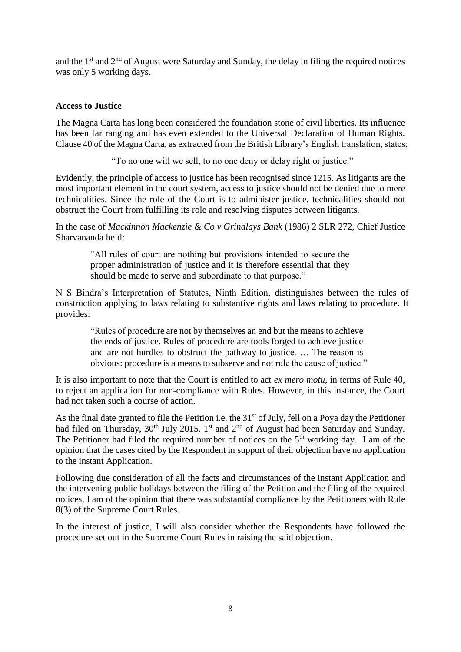and the  $1<sup>st</sup>$  and  $2<sup>nd</sup>$  of August were Saturday and Sunday, the delay in filing the required notices was only 5 working days.

#### **Access to Justice**

The Magna Carta has long been considered the foundation stone of civil liberties. Its influence has been far ranging and has even extended to the Universal Declaration of Human Rights. Clause 40 of the Magna Carta, as extracted from the British Library's English translation, states;

"To no one will we sell, to no one deny or delay right or justice."

Evidently, the principle of access to justice has been recognised since 1215. As litigants are the most important element in the court system, access to justice should not be denied due to mere technicalities. Since the role of the Court is to administer justice, technicalities should not obstruct the Court from fulfilling its role and resolving disputes between litigants.

In the case of *Mackinnon Mackenzie & Co v Grindlays Bank* (1986) 2 SLR 272, Chief Justice Sharvananda held:

"All rules of court are nothing but provisions intended to secure the proper administration of justice and it is therefore essential that they should be made to serve and subordinate to that purpose."

N S Bindra's Interpretation of Statutes, Ninth Edition, distinguishes between the rules of construction applying to laws relating to substantive rights and laws relating to procedure. It provides:

"Rules of procedure are not by themselves an end but the means to achieve the ends of justice. Rules of procedure are tools forged to achieve justice and are not hurdles to obstruct the pathway to justice. … The reason is obvious: procedure is a means to subserve and not rule the cause of justice."

It is also important to note that the Court is entitled to act *ex mero motu,* in terms of Rule 40, to reject an application for non-compliance with Rules. However, in this instance, the Court had not taken such a course of action.

As the final date granted to file the Petition i.e. the 31<sup>st</sup> of July, fell on a Poya day the Petitioner had filed on Thursday,  $30<sup>th</sup>$  July 2015. 1<sup>st</sup> and  $2<sup>nd</sup>$  of August had been Saturday and Sunday. The Petitioner had filed the required number of notices on the  $5<sup>th</sup>$  working day. I am of the opinion that the cases cited by the Respondent in support of their objection have no application to the instant Application.

Following due consideration of all the facts and circumstances of the instant Application and the intervening public holidays between the filing of the Petition and the filing of the required notices, I am of the opinion that there was substantial compliance by the Petitioners with Rule 8(3) of the Supreme Court Rules.

In the interest of justice, I will also consider whether the Respondents have followed the procedure set out in the Supreme Court Rules in raising the said objection.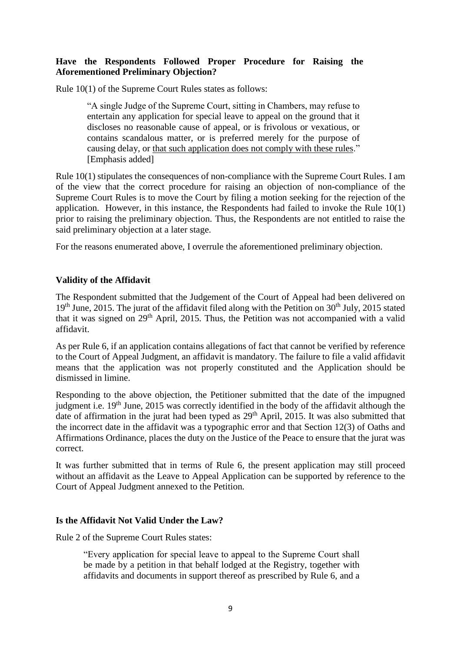## **Have the Respondents Followed Proper Procedure for Raising the Aforementioned Preliminary Objection?**

Rule 10(1) of the Supreme Court Rules states as follows:

"A single Judge of the Supreme Court, sitting in Chambers, may refuse to entertain any application for special leave to appeal on the ground that it discloses no reasonable cause of appeal, or is frivolous or vexatious, or contains scandalous matter, or is preferred merely for the purpose of causing delay, or that such application does not comply with these rules." [Emphasis added]

Rule 10(1) stipulates the consequences of non-compliance with the Supreme Court Rules. I am of the view that the correct procedure for raising an objection of non-compliance of the Supreme Court Rules is to move the Court by filing a motion seeking for the rejection of the application. However, in this instance, the Respondents had failed to invoke the Rule 10(1) prior to raising the preliminary objection. Thus, the Respondents are not entitled to raise the said preliminary objection at a later stage.

For the reasons enumerated above, I overrule the aforementioned preliminary objection.

## **Validity of the Affidavit**

The Respondent submitted that the Judgement of the Court of Appeal had been delivered on  $19<sup>th</sup>$  June, 2015. The jurat of the affidavit filed along with the Petition on  $30<sup>th</sup>$  July, 2015 stated that it was signed on 29th April, 2015. Thus, the Petition was not accompanied with a valid affidavit.

As per Rule 6, if an application contains allegations of fact that cannot be verified by reference to the Court of Appeal Judgment, an affidavit is mandatory. The failure to file a valid affidavit means that the application was not properly constituted and the Application should be dismissed in limine.

Responding to the above objection, the Petitioner submitted that the date of the impugned judgment i.e. 19<sup>th</sup> June, 2015 was correctly identified in the body of the affidavit although the date of affirmation in the jurat had been typed as  $29<sup>th</sup>$  April, 2015. It was also submitted that the incorrect date in the affidavit was a typographic error and that Section 12(3) of Oaths and Affirmations Ordinance, places the duty on the Justice of the Peace to ensure that the jurat was correct.

It was further submitted that in terms of Rule 6, the present application may still proceed without an affidavit as the Leave to Appeal Application can be supported by reference to the Court of Appeal Judgment annexed to the Petition.

#### **Is the Affidavit Not Valid Under the Law?**

Rule 2 of the Supreme Court Rules states:

"Every application for special leave to appeal to the Supreme Court shall be made by a petition in that behalf lodged at the Registry, together with affidavits and documents in support thereof as prescribed by Rule 6, and a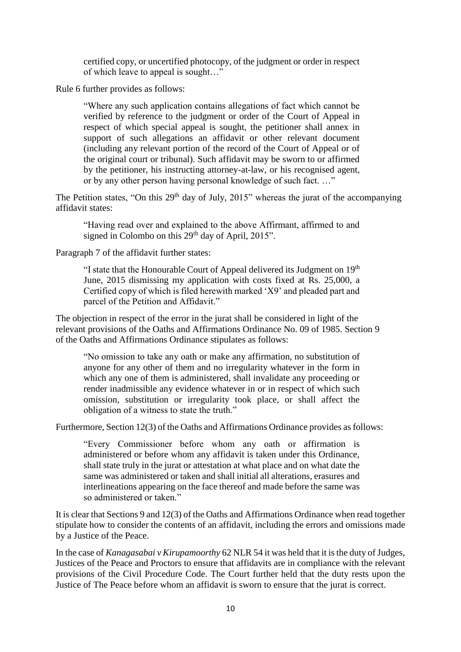certified copy, or uncertified photocopy, of the judgment or order in respect of which leave to appeal is sought…"

Rule 6 further provides as follows:

"Where any such application contains allegations of fact which cannot be verified by reference to the judgment or order of the Court of Appeal in respect of which special appeal is sought, the petitioner shall annex in support of such allegations an affidavit or other relevant document (including any relevant portion of the record of the Court of Appeal or of the original court or tribunal). Such affidavit may be sworn to or affirmed by the petitioner, his instructing attorney-at-law, or his recognised agent, or by any other person having personal knowledge of such fact. …"

The Petition states, "On this  $29<sup>th</sup>$  day of July,  $2015$ " whereas the jurat of the accompanying affidavit states:

"Having read over and explained to the above Affirmant, affirmed to and signed in Colombo on this  $29<sup>th</sup>$  day of April,  $2015$ ".

Paragraph 7 of the affidavit further states:

"I state that the Honourable Court of Appeal delivered its Judgment on 19<sup>th</sup> June, 2015 dismissing my application with costs fixed at Rs. 25,000, a Certified copy of which is filed herewith marked 'X9' and pleaded part and parcel of the Petition and Affidavit."

The objection in respect of the error in the jurat shall be considered in light of the relevant provisions of the Oaths and Affirmations Ordinance No. 09 of 1985. Section 9 of the Oaths and Affirmations Ordinance stipulates as follows:

"No omission to take any oath or make any affirmation, no substitution of anyone for any other of them and no irregularity whatever in the form in which any one of them is administered, shall invalidate any proceeding or render inadmissible any evidence whatever in or in respect of which such omission, substitution or irregularity took place, or shall affect the obligation of a witness to state the truth."

Furthermore, Section 12(3) of the Oaths and Affirmations Ordinance provides as follows:

"Every Commissioner before whom any oath or affirmation is administered or before whom any affidavit is taken under this Ordinance, shall state truly in the jurat or attestation at what place and on what date the same was administered or taken and shall initial all alterations, erasures and interlineations appearing on the face thereof and made before the same was so administered or taken."

It is clear that Sections 9 and 12(3) of the Oaths and Affirmations Ordinance when read together stipulate how to consider the contents of an affidavit, including the errors and omissions made by a Justice of the Peace.

In the case of *Kanagasabai v Kirupamoorthy* 62 NLR 54 it was held that it is the duty of Judges, Justices of the Peace and Proctors to ensure that affidavits are in compliance with the relevant provisions of the Civil Procedure Code. The Court further held that the duty rests upon the Justice of The Peace before whom an affidavit is sworn to ensure that the jurat is correct.